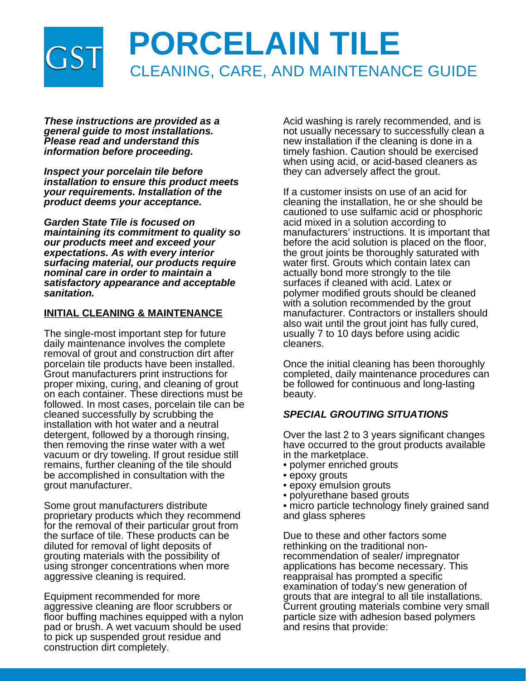

*These instructions are provided as a general guide to most installations. Please read and understand this information before proceeding.*

*Inspect your porcelain tile before installation to ensure this product meets your requirements. Installation of the product deems your acceptance.*

*Garden State Tile is focused on maintaining its commitment to quality so our products meet and exceed your expectations. As with every interior surfacing material, our products require nominal care in order to maintain a satisfactory appearance and acceptable sanitation.*

#### **INITIAL CLEANING & MAINTENANCE**

The single-most important step for future daily maintenance involves the complete removal of grout and construction dirt after porcelain tile products have been installed. Grout manufacturers print instructions for proper mixing, curing, and cleaning of grout on each container. These directions must be followed. In most cases, porcelain tile can be cleaned successfully by scrubbing the installation with hot water and a neutral detergent, followed by a thorough rinsing, then removing the rinse water with a wet vacuum or dry toweling. If grout residue still remains, further cleaning of the tile should be accomplished in consultation with the grout manufacturer.

Some grout manufacturers distribute proprietary products which they recommend for the removal of their particular grout from the surface of tile. These products can be diluted for removal of light deposits of grouting materials with the possibility of using stronger concentrations when more aggressive cleaning is required.

Equipment recommended for more aggressive cleaning are floor scrubbers or floor buffing machines equipped with a nylon pad or brush. A wet vacuum should be used to pick up suspended grout residue and construction dirt completely.

Acid washing is rarely recommended, and is not usually necessary to successfully clean a new installation if the cleaning is done in a timely fashion. Caution should be exercised when using acid, or acid-based cleaners as they can adversely affect the grout.

If a customer insists on use of an acid for cleaning the installation, he or she should be cautioned to use sulfamic acid or phosphoric acid mixed in a solution according to manufacturers' instructions. It is important that before the acid solution is placed on the floor, the grout joints be thoroughly saturated with water first. Grouts which contain latex can actually bond more strongly to the tile surfaces if cleaned with acid. Latex or polymer modified grouts should be cleaned with a solution recommended by the grout manufacturer. Contractors or installers should also wait until the grout joint has fully cured, usually 7 to 10 days before using acidic cleaners.

Once the initial cleaning has been thoroughly completed, daily maintenance procedures can be followed for continuous and long-lasting beauty.

# *SPECIAL GROUTING SITUATIONS*

Over the last 2 to 3 years significant changes have occurred to the grout products available in the marketplace.

- polymer enriched grouts
- epoxy grouts
- epoxy emulsion grouts
- polyurethane based grouts
- micro particle technology finely grained sand and glass spheres

Due to these and other factors some rethinking on the traditional nonrecommendation of sealer/ impregnator applications has become necessary. This reappraisal has prompted a specific examination of today's new generation of grouts that are integral to all tile installations. Current grouting materials combine very small particle size with adhesion based polymers and resins that provide: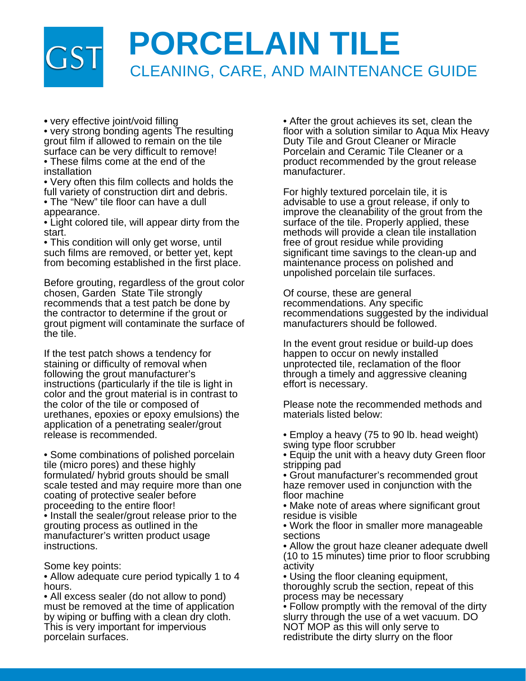# **PORCELAIN TILE**  $\mathsf{S}^{\mathsf{I}}$ CLEANING, CARE, AND MAINTENANCE GUIDE

*•* very effective joint/void filling

• very strong bonding agents The resulting grout film if allowed to remain on the tile surface can be very difficult to remove!

• These films come at the end of the installation

• Very often this film collects and holds the full variety of construction dirt and debris.

• The "New" tile floor can have a dull appearance.

• Light colored tile, will appear dirty from the start.

• This condition will only get worse, until such films are removed, or better yet, kept from becoming established in the first place.

Before grouting, regardless of the grout color chosen, Garden State Tile strongly recommends that a test patch be done by the contractor to determine if the grout or grout pigment will contaminate the surface of the tile.

If the test patch shows a tendency for staining or difficulty of removal when following the grout manufacturer's instructions (particularly if the tile is light in color and the grout material is in contrast to the color of the tile or composed of urethanes, epoxies or epoxy emulsions) the application of a penetrating sealer/grout release is recommended.

• Some combinations of polished porcelain tile (micro pores) and these highly formulated/ hybrid grouts should be small scale tested and may require more than one coating of protective sealer before proceeding to the entire floor!

• Install the sealer/grout release prior to the grouting process as outlined in the manufacturer's written product usage instructions.

Some key points:

• Allow adequate cure period typically 1 to 4 hours.

• All excess sealer (do not allow to pond) must be removed at the time of application by wiping or buffing with a clean dry cloth. This is very important for impervious porcelain surfaces.

• After the grout achieves its set, clean the floor with a solution similar to Aqua Mix Heavy Duty Tile and Grout Cleaner or Miracle Porcelain and Ceramic Tile Cleaner or a product recommended by the grout release manufacturer.

For highly textured porcelain tile, it is advisable to use a grout release, if only to improve the cleanability of the grout from the surface of the tile. Properly applied, these methods will provide a clean tile installation free of grout residue while providing significant time savings to the clean-up and maintenance process on polished and unpolished porcelain tile surfaces.

Of course, these are general recommendations. Any specific recommendations suggested by the individual manufacturers should be followed.

In the event grout residue or build-up does happen to occur on newly installed unprotected tile, reclamation of the floor through a timely and aggressive cleaning effort is necessary.

Please note the recommended methods and materials listed below:

• Employ a heavy (75 to 90 lb. head weight) swing type floor scrubber

• Equip the unit with a heavy duty Green floor stripping pad

• Grout manufacturer's recommended grout haze remover used in conjunction with the floor machine

• Make note of areas where significant grout residue is visible

• Work the floor in smaller more manageable sections

• Allow the grout haze cleaner adequate dwell (10 to 15 minutes) time prior to floor scrubbing activity

• Using the floor cleaning equipment, thoroughly scrub the section, repeat of this process may be necessary

• Follow promptly with the removal of the dirty slurry through the use of a wet vacuum. DO NOT MOP as this will only serve to redistribute the dirty slurry on the floor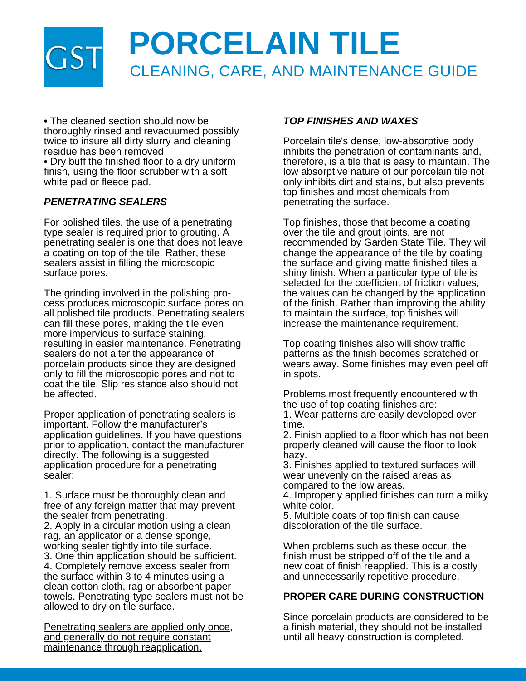

*•* The cleaned section should now be thoroughly rinsed and revacuumed possibly twice to insure all dirty slurry and cleaning residue has been removed

• Dry buff the finished floor to a dry uniform finish, using the floor scrubber with a soft white pad or fleece pad.

# *PENETRATING SEALERS*

For polished tiles, the use of a penetrating type sealer is required prior to grouting. A penetrating sealer is one that does not leave a coating on top of the tile. Rather, these sealers assist in filling the microscopic surface pores.

The grinding involved in the polishing process produces microscopic surface pores on all polished tile products. Penetrating sealers can fill these pores, making the tile even more impervious to surface staining, resulting in easier maintenance. Penetrating sealers do not alter the appearance of porcelain products since they are designed only to fill the microscopic pores and not to coat the tile. Slip resistance also should not be affected.

Proper application of penetrating sealers is important. Follow the manufacturer's application guidelines. If you have questions prior to application, contact the manufacturer directly. The following is a suggested application procedure for a penetrating sealer:

1. Surface must be thoroughly clean and free of any foreign matter that may prevent the sealer from penetrating.

2. Apply in a circular motion using a clean rag, an applicator or a dense sponge, working sealer tightly into tile surface.

3. One thin application should be sufficient. 4. Completely remove excess sealer from the surface within 3 to 4 minutes using a clean cotton cloth, rag or absorbent paper towels. Penetrating-type sealers must not be allowed to dry on tile surface.

Penetrating sealers are applied only once, and generally do not require constant maintenance through reapplication.

# *TOP FINISHES AND WAXES*

Porcelain tile's dense, low-absorptive body inhibits the penetration of contaminants and, therefore, is a tile that is easy to maintain. The low absorptive nature of our porcelain tile not only inhibits dirt and stains, but also prevents top finishes and most chemicals from penetrating the surface.

Top finishes, those that become a coating over the tile and grout joints, are not recommended by Garden State Tile. They will change the appearance of the tile by coating the surface and giving matte finished tiles a shiny finish. When a particular type of tile is selected for the coefficient of friction values, the values can be changed by the application of the finish. Rather than improving the ability to maintain the surface, top finishes will increase the maintenance requirement.

Top coating finishes also will show traffic patterns as the finish becomes scratched or wears away. Some finishes may even peel off in spots.

Problems most frequently encountered with the use of top coating finishes are:

1. Wear patterns are easily developed over time.

2. Finish applied to a floor which has not been properly cleaned will cause the floor to look hazy.

3. Finishes applied to textured surfaces will wear unevenly on the raised areas as compared to the low areas.

4. Improperly applied finishes can turn a milky white color.

5. Multiple coats of top finish can cause discoloration of the tile surface.

When problems such as these occur, the finish must be stripped off of the tile and a new coat of finish reapplied. This is a costly and unnecessarily repetitive procedure.

#### **PROPER CARE DURING CONSTRUCTION**

Since porcelain products are considered to be a finish material, they should not be installed until all heavy construction is completed.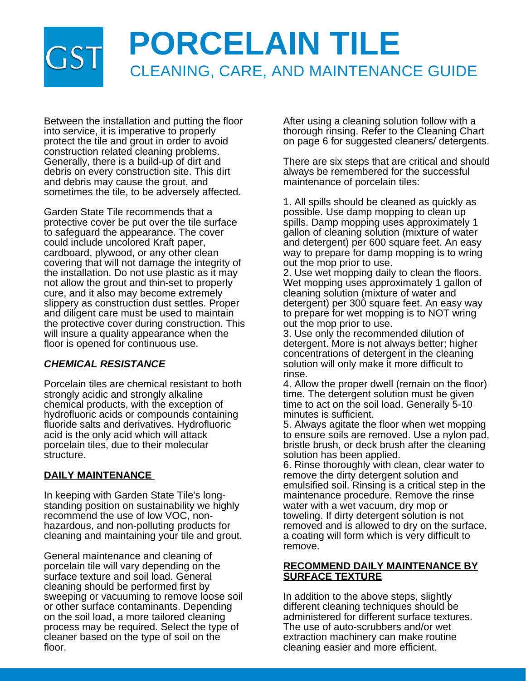# **PORCELAIN TILE** CLEANING, CARE, AND MAINTENANCE GUIDE

Between the installation and putting the floor into service, it is imperative to properly protect the tile and grout in order to avoid construction related cleaning problems. Generally, there is a build-up of dirt and debris on every construction site. This dirt and debris may cause the grout, and sometimes the tile, to be adversely affected.

Garden State Tile recommends that a protective cover be put over the tile surface to safeguard the appearance. The cover could include uncolored Kraft paper, cardboard, plywood, or any other clean covering that will not damage the integrity of the installation. Do not use plastic as it may not allow the grout and thin-set to properly cure, and it also may become extremely slippery as construction dust settles. Proper and diligent care must be used to maintain the protective cover during construction. This will insure a quality appearance when the floor is opened for continuous use.

# *CHEMICAL RESISTANCE*

Porcelain tiles are chemical resistant to both strongly acidic and strongly alkaline chemical products, with the exception of hydrofluoric acids or compounds containing fluoride salts and derivatives. Hydrofluoric acid is the only acid which will attack porcelain tiles, due to their molecular structure.

# **DAILY MAINTENANCE**

In keeping with Garden State Tile's longstanding position on sustainability we highly recommend the use of low VOC, nonhazardous, and non-polluting products for cleaning and maintaining your tile and grout.

General maintenance and cleaning of porcelain tile will vary depending on the surface texture and soil load. General cleaning should be performed first by sweeping or vacuuming to remove loose soil or other surface contaminants. Depending on the soil load, a more tailored cleaning process may be required. Select the type of cleaner based on the type of soil on the floor.

After using a cleaning solution follow with a thorough rinsing. Refer to the Cleaning Chart on page 6 for suggested cleaners/ detergents.

There are six steps that are critical and should always be remembered for the successful maintenance of porcelain tiles:

1. All spills should be cleaned as quickly as possible. Use damp mopping to clean up spills. Damp mopping uses approximately 1 gallon of cleaning solution (mixture of water and detergent) per 600 square feet. An easy way to prepare for damp mopping is to wring out the mop prior to use.

2. Use wet mopping daily to clean the floors. Wet mopping uses approximately 1 gallon of cleaning solution (mixture of water and detergent) per 300 square feet. An easy way to prepare for wet mopping is to NOT wring out the mop prior to use.

3. Use only the recommended dilution of detergent. More is not always better; higher concentrations of detergent in the cleaning solution will only make it more difficult to rinse.

4. Allow the proper dwell (remain on the floor) time. The detergent solution must be given time to act on the soil load. Generally 5-10 minutes is sufficient.

5. Always agitate the floor when wet mopping to ensure soils are removed. Use a nylon pad, bristle brush, or deck brush after the cleaning solution has been applied.

6. Rinse thoroughly with clean, clear water to remove the dirty detergent solution and emulsified soil. Rinsing is a critical step in the maintenance procedure. Remove the rinse water with a wet vacuum, dry mop or toweling. If dirty detergent solution is not removed and is allowed to dry on the surface, a coating will form which is very difficult to remove.

# **RECOMMEND DAILY MAINTENANCE BY SURFACE TEXTURE**

In addition to the above steps, slightly different cleaning techniques should be administered for different surface textures. The use of auto-scrubbers and/or wet extraction machinery can make routine cleaning easier and more efficient.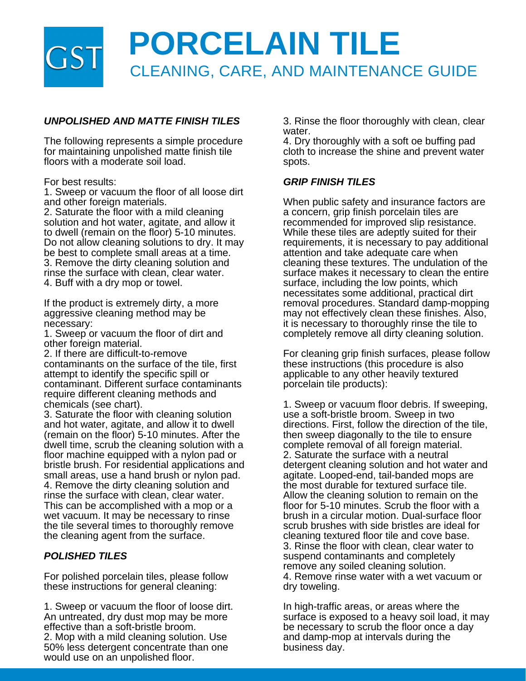

# *UNPOLISHED AND MATTE FINISH TILES*

The following represents a simple procedure for maintaining unpolished matte finish tile floors with a moderate soil load.

#### For best results:

1. Sweep or vacuum the floor of all loose dirt and other foreign materials.

2. Saturate the floor with a mild cleaning solution and hot water, agitate, and allow it to dwell (remain on the floor) 5-10 minutes. Do not allow cleaning solutions to dry. It may be best to complete small areas at a time. 3. Remove the dirty cleaning solution and rinse the surface with clean, clear water. 4. Buff with a dry mop or towel.

If the product is extremely dirty, a more aggressive cleaning method may be necessary:

1. Sweep or vacuum the floor of dirt and other foreign material.

2. If there are difficult-to-remove contaminants on the surface of the tile, first attempt to identify the specific spill or contaminant. Different surface contaminants require different cleaning methods and chemicals (see chart).

3. Saturate the floor with cleaning solution and hot water, agitate, and allow it to dwell (remain on the floor) 5-10 minutes. After the dwell time, scrub the cleaning solution with a floor machine equipped with a nylon pad or bristle brush. For residential applications and small areas, use a hand brush or nylon pad. 4. Remove the dirty cleaning solution and rinse the surface with clean, clear water. This can be accomplished with a mop or a wet vacuum. It may be necessary to rinse the tile several times to thoroughly remove the cleaning agent from the surface.

# *POLISHED TILES*

For polished porcelain tiles, please follow these instructions for general cleaning:

1. Sweep or vacuum the floor of loose dirt. An untreated, dry dust mop may be more effective than a soft-bristle broom.

2. Mop with a mild cleaning solution. Use 50% less detergent concentrate than one would use on an unpolished floor.

3. Rinse the floor thoroughly with clean, clear water.

4. Dry thoroughly with a soft oe buffing pad cloth to increase the shine and prevent water spots.

### *GRIP FINISH TILES*

When public safety and insurance factors are a concern, grip finish porcelain tiles are recommended for improved slip resistance. While these tiles are adeptly suited for their requirements, it is necessary to pay additional attention and take adequate care when cleaning these textures. The undulation of the surface makes it necessary to clean the entire surface, including the low points, which necessitates some additional, practical dirt removal procedures. Standard damp-mopping may not effectively clean these finishes. Also, it is necessary to thoroughly rinse the tile to completely remove all dirty cleaning solution.

For cleaning grip finish surfaces, please follow these instructions (this procedure is also applicable to any other heavily textured porcelain tile products):

1. Sweep or vacuum floor debris. If sweeping, use a soft-bristle broom. Sweep in two directions. First, follow the direction of the tile, then sweep diagonally to the tile to ensure complete removal of all foreign material. 2. Saturate the surface with a neutral detergent cleaning solution and hot water and agitate. Looped-end, tail-banded mops are the most durable for textured surface tile. Allow the cleaning solution to remain on the floor for 5-10 minutes. Scrub the floor with a brush in a circular motion. Dual-surface floor scrub brushes with side bristles are ideal for cleaning textured floor tile and cove base. 3. Rinse the floor with clean, clear water to suspend contaminants and completely remove any soiled cleaning solution. 4. Remove rinse water with a wet vacuum or dry toweling.

In high-traffic areas, or areas where the surface is exposed to a heavy soil load, it may be necessary to scrub the floor once a day and damp-mop at intervals during the business day.